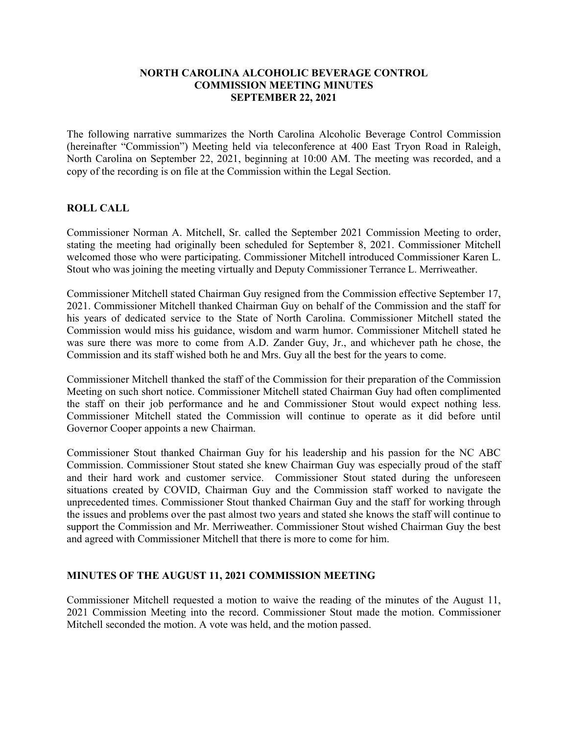### **NORTH CAROLINA ALCOHOLIC BEVERAGE CONTROL COMMISSION MEETING MINUTES SEPTEMBER 22, 2021**

The following narrative summarizes the North Carolina Alcoholic Beverage Control Commission (hereinafter "Commission") Meeting held via teleconference at 400 East Tryon Road in Raleigh, North Carolina on September 22, 2021, beginning at 10:00 AM. The meeting was recorded, and a copy of the recording is on file at the Commission within the Legal Section.

### **ROLL CALL**

Commissioner Norman A. Mitchell, Sr. called the September 2021 Commission Meeting to order, stating the meeting had originally been scheduled for September 8, 2021. Commissioner Mitchell welcomed those who were participating. Commissioner Mitchell introduced Commissioner Karen L. Stout who was joining the meeting virtually and Deputy Commissioner Terrance L. Merriweather.

Commissioner Mitchell stated Chairman Guy resigned from the Commission effective September 17, 2021. Commissioner Mitchell thanked Chairman Guy on behalf of the Commission and the staff for his years of dedicated service to the State of North Carolina. Commissioner Mitchell stated the Commission would miss his guidance, wisdom and warm humor. Commissioner Mitchell stated he was sure there was more to come from A.D. Zander Guy, Jr., and whichever path he chose, the Commission and its staff wished both he and Mrs. Guy all the best for the years to come.

Commissioner Mitchell thanked the staff of the Commission for their preparation of the Commission Meeting on such short notice. Commissioner Mitchell stated Chairman Guy had often complimented the staff on their job performance and he and Commissioner Stout would expect nothing less. Commissioner Mitchell stated the Commission will continue to operate as it did before until Governor Cooper appoints a new Chairman.

Commissioner Stout thanked Chairman Guy for his leadership and his passion for the NC ABC Commission. Commissioner Stout stated she knew Chairman Guy was especially proud of the staff and their hard work and customer service. Commissioner Stout stated during the unforeseen situations created by COVID, Chairman Guy and the Commission staff worked to navigate the unprecedented times. Commissioner Stout thanked Chairman Guy and the staff for working through the issues and problems over the past almost two years and stated she knows the staff will continue to support the Commission and Mr. Merriweather. Commissioner Stout wished Chairman Guy the best and agreed with Commissioner Mitchell that there is more to come for him.

# **MINUTES OF THE AUGUST 11, 2021 COMMISSION MEETING**

Commissioner Mitchell requested a motion to waive the reading of the minutes of the August 11, 2021 Commission Meeting into the record. Commissioner Stout made the motion. Commissioner Mitchell seconded the motion. A vote was held, and the motion passed.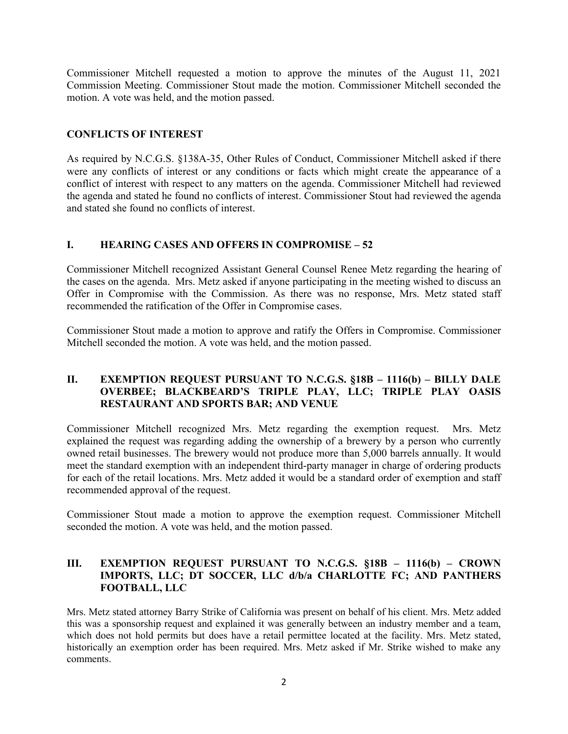Commissioner Mitchell requested a motion to approve the minutes of the August 11, 2021 Commission Meeting. Commissioner Stout made the motion. Commissioner Mitchell seconded the motion. A vote was held, and the motion passed.

# **CONFLICTS OF INTEREST**

As required by N.C.G.S. §138A-35, Other Rules of Conduct, Commissioner Mitchell asked if there were any conflicts of interest or any conditions or facts which might create the appearance of a conflict of interest with respect to any matters on the agenda. Commissioner Mitchell had reviewed the agenda and stated he found no conflicts of interest. Commissioner Stout had reviewed the agenda and stated she found no conflicts of interest.

# **I. HEARING CASES AND OFFERS IN COMPROMISE – 52**

Commissioner Mitchell recognized Assistant General Counsel Renee Metz regarding the hearing of the cases on the agenda. Mrs. Metz asked if anyone participating in the meeting wished to discuss an Offer in Compromise with the Commission. As there was no response, Mrs. Metz stated staff recommended the ratification of the Offer in Compromise cases.

Commissioner Stout made a motion to approve and ratify the Offers in Compromise. Commissioner Mitchell seconded the motion. A vote was held, and the motion passed.

# **II. EXEMPTION REQUEST PURSUANT TO N.C.G.S. §18B – 1116(b) – BILLY DALE OVERBEE; BLACKBEARD'S TRIPLE PLAY, LLC; TRIPLE PLAY OASIS RESTAURANT AND SPORTS BAR; AND VENUE**

Commissioner Mitchell recognized Mrs. Metz regarding the exemption request. Mrs. Metz explained the request was regarding adding the ownership of a brewery by a person who currently owned retail businesses. The brewery would not produce more than 5,000 barrels annually. It would meet the standard exemption with an independent third-party manager in charge of ordering products for each of the retail locations. Mrs. Metz added it would be a standard order of exemption and staff recommended approval of the request.

Commissioner Stout made a motion to approve the exemption request. Commissioner Mitchell seconded the motion. A vote was held, and the motion passed.

# **III. EXEMPTION REQUEST PURSUANT TO N.C.G.S. §18B – 1116(b) – CROWN IMPORTS, LLC; DT SOCCER, LLC d/b/a CHARLOTTE FC; AND PANTHERS FOOTBALL, LLC**

Mrs. Metz stated attorney Barry Strike of California was present on behalf of his client. Mrs. Metz added this was a sponsorship request and explained it was generally between an industry member and a team, which does not hold permits but does have a retail permittee located at the facility. Mrs. Metz stated, historically an exemption order has been required. Mrs. Metz asked if Mr. Strike wished to make any comments.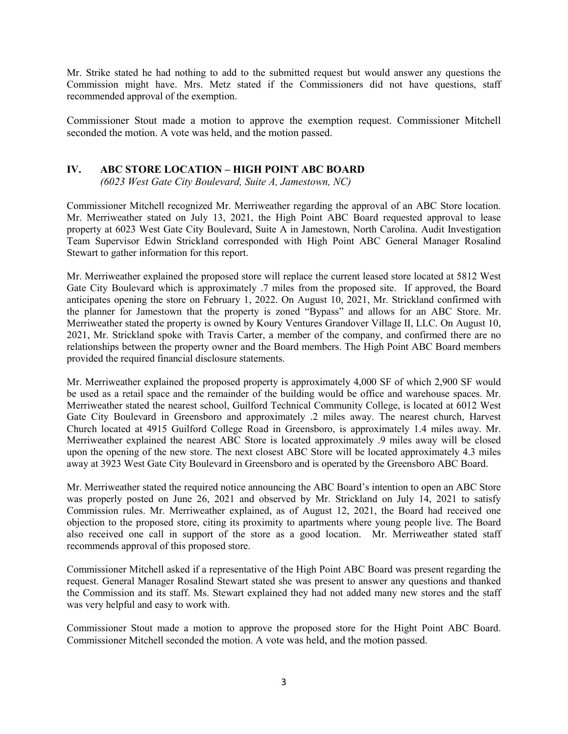Mr. Strike stated he had nothing to add to the submitted request but would answer any questions the Commission might have. Mrs. Metz stated if the Commissioners did not have questions, staff recommended approval of the exemption.

Commissioner Stout made a motion to approve the exemption request. Commissioner Mitchell seconded the motion. A vote was held, and the motion passed.

# **IV. ABC STORE LOCATION – HIGH POINT ABC BOARD**

*(6023 West Gate City Boulevard, Suite A, Jamestown, NC)*

Commissioner Mitchell recognized Mr. Merriweather regarding the approval of an ABC Store location. Mr. Merriweather stated on July 13, 2021, the High Point ABC Board requested approval to lease property at 6023 West Gate City Boulevard, Suite A in Jamestown, North Carolina. Audit Investigation Team Supervisor Edwin Strickland corresponded with High Point ABC General Manager Rosalind Stewart to gather information for this report.

Mr. Merriweather explained the proposed store will replace the current leased store located at 5812 West Gate City Boulevard which is approximately .7 miles from the proposed site. If approved, the Board anticipates opening the store on February 1, 2022. On August 10, 2021, Mr. Strickland confirmed with the planner for Jamestown that the property is zoned "Bypass" and allows for an ABC Store. Mr. Merriweather stated the property is owned by Koury Ventures Grandover Village II, LLC. On August 10, 2021, Mr. Strickland spoke with Travis Carter, a member of the company, and confirmed there are no relationships between the property owner and the Board members. The High Point ABC Board members provided the required financial disclosure statements.

Mr. Merriweather explained the proposed property is approximately 4,000 SF of which 2,900 SF would be used as a retail space and the remainder of the building would be office and warehouse spaces. Mr. Merriweather stated the nearest school, Guilford Technical Community College, is located at 6012 West Gate City Boulevard in Greensboro and approximately .2 miles away. The nearest church, Harvest Church located at 4915 Guilford College Road in Greensboro, is approximately 1.4 miles away. Mr. Merriweather explained the nearest ABC Store is located approximately .9 miles away will be closed upon the opening of the new store. The next closest ABC Store will be located approximately 4.3 miles away at 3923 West Gate City Boulevard in Greensboro and is operated by the Greensboro ABC Board.

Mr. Merriweather stated the required notice announcing the ABC Board's intention to open an ABC Store was properly posted on June 26, 2021 and observed by Mr. Strickland on July 14, 2021 to satisfy Commission rules. Mr. Merriweather explained, as of August 12, 2021, the Board had received one objection to the proposed store, citing its proximity to apartments where young people live. The Board also received one call in support of the store as a good location. Mr. Merriweather stated staff recommends approval of this proposed store.

Commissioner Mitchell asked if a representative of the High Point ABC Board was present regarding the request. General Manager Rosalind Stewart stated she was present to answer any questions and thanked the Commission and its staff. Ms. Stewart explained they had not added many new stores and the staff was very helpful and easy to work with.

Commissioner Stout made a motion to approve the proposed store for the Hight Point ABC Board. Commissioner Mitchell seconded the motion. A vote was held, and the motion passed.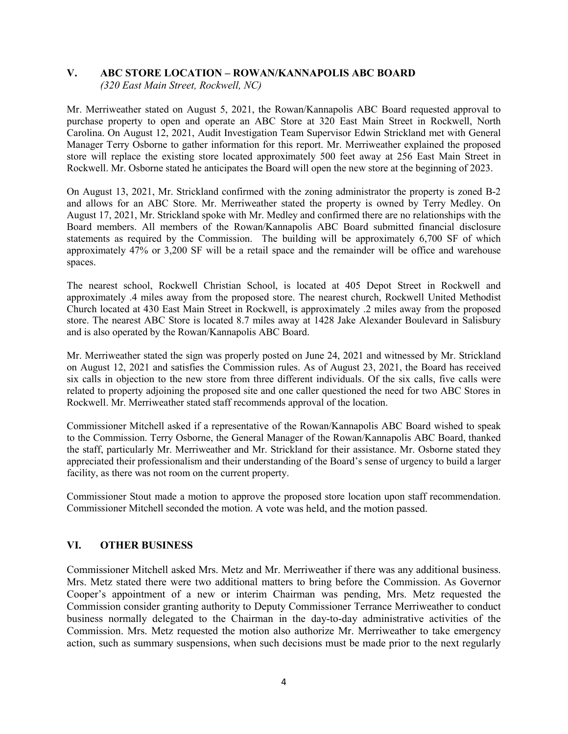#### **V. ABC STORE LOCATION – ROWAN/KANNAPOLIS ABC BOARD** *(320 East Main Street, Rockwell, NC)*

Mr. Merriweather stated on August 5, 2021, the Rowan/Kannapolis ABC Board requested approval to purchase property to open and operate an ABC Store at 320 East Main Street in Rockwell, North Carolina. On August 12, 2021, Audit Investigation Team Supervisor Edwin Strickland met with General Manager Terry Osborne to gather information for this report. Mr. Merriweather explained the proposed store will replace the existing store located approximately 500 feet away at 256 East Main Street in Rockwell. Mr. Osborne stated he anticipates the Board will open the new store at the beginning of 2023.

On August 13, 2021, Mr. Strickland confirmed with the zoning administrator the property is zoned B-2 and allows for an ABC Store. Mr. Merriweather stated the property is owned by Terry Medley. On August 17, 2021, Mr. Strickland spoke with Mr. Medley and confirmed there are no relationships with the Board members. All members of the Rowan/Kannapolis ABC Board submitted financial disclosure statements as required by the Commission. The building will be approximately 6,700 SF of which approximately 47% or 3,200 SF will be a retail space and the remainder will be office and warehouse spaces.

The nearest school, Rockwell Christian School, is located at 405 Depot Street in Rockwell and approximately .4 miles away from the proposed store. The nearest church, Rockwell United Methodist Church located at 430 East Main Street in Rockwell, is approximately .2 miles away from the proposed store. The nearest ABC Store is located 8.7 miles away at 1428 Jake Alexander Boulevard in Salisbury and is also operated by the Rowan/Kannapolis ABC Board.

Mr. Merriweather stated the sign was properly posted on June 24, 2021 and witnessed by Mr. Strickland on August 12, 2021 and satisfies the Commission rules. As of August 23, 2021, the Board has received six calls in objection to the new store from three different individuals. Of the six calls, five calls were related to property adjoining the proposed site and one caller questioned the need for two ABC Stores in Rockwell. Mr. Merriweather stated staff recommends approval of the location.

Commissioner Mitchell asked if a representative of the Rowan/Kannapolis ABC Board wished to speak to the Commission. Terry Osborne, the General Manager of the Rowan/Kannapolis ABC Board, thanked the staff, particularly Mr. Merriweather and Mr. Strickland for their assistance. Mr. Osborne stated they appreciated their professionalism and their understanding of the Board's sense of urgency to build a larger facility, as there was not room on the current property.

Commissioner Stout made a motion to approve the proposed store location upon staff recommendation. Commissioner Mitchell seconded the motion. A vote was held, and the motion passed.

# **VI. OTHER BUSINESS**

Commissioner Mitchell asked Mrs. Metz and Mr. Merriweather if there was any additional business. Mrs. Metz stated there were two additional matters to bring before the Commission. As Governor Cooper's appointment of a new or interim Chairman was pending, Mrs. Metz requested the Commission consider granting authority to Deputy Commissioner Terrance Merriweather to conduct business normally delegated to the Chairman in the day-to-day administrative activities of the Commission. Mrs. Metz requested the motion also authorize Mr. Merriweather to take emergency action, such as summary suspensions, when such decisions must be made prior to the next regularly